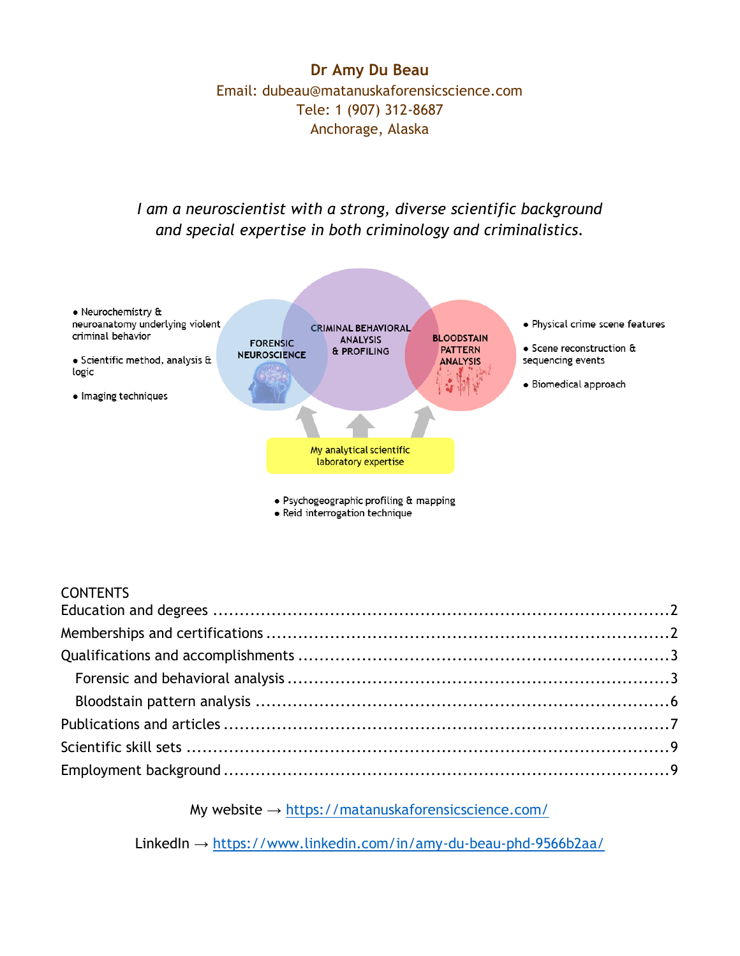**Dr Amy Du Beau** Email: dubeau@matanuskaforensicscience.com Tele: 1 (907) 312-8687 Anchorage, Alaska

#### *I am a neuroscientist with a strong, diverse scientific background and special expertise in both criminology and criminalistics.*



#### **CONTENTS**

My website  $\rightarrow$  <https://matanuskaforensicscience.com/>

LinkedIn → <https://www.linkedin.com/in/amy-du-beau-phd-9566b2aa/>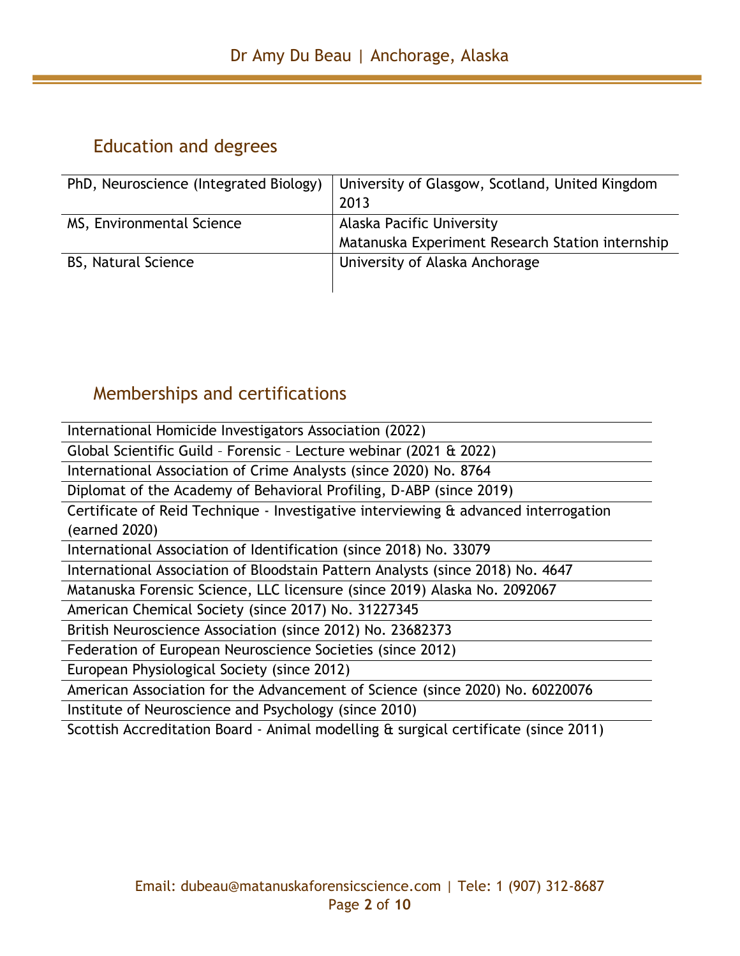# <span id="page-1-0"></span>Education and degrees

| PhD, Neuroscience (Integrated Biology) | University of Glasgow, Scotland, United Kingdom<br>2013 |
|----------------------------------------|---------------------------------------------------------|
|                                        |                                                         |
| MS, Environmental Science              | Alaska Pacific University                               |
|                                        | Matanuska Experiment Research Station internship        |
| <b>BS, Natural Science</b>             | University of Alaska Anchorage                          |
|                                        |                                                         |

# <span id="page-1-1"></span>Memberships and certifications

| International Homicide Investigators Association (2022)                             |
|-------------------------------------------------------------------------------------|
| Global Scientific Guild - Forensic - Lecture webinar (2021 & 2022)                  |
| International Association of Crime Analysts (since 2020) No. 8764                   |
| Diplomat of the Academy of Behavioral Profiling, D-ABP (since 2019)                 |
| Certificate of Reid Technique - Investigative interviewing & advanced interrogation |
| (earned 2020)                                                                       |
| International Association of Identification (since 2018) No. 33079                  |
| International Association of Bloodstain Pattern Analysts (since 2018) No. 4647      |
| Matanuska Forensic Science, LLC licensure (since 2019) Alaska No. 2092067           |
| American Chemical Society (since 2017) No. 31227345                                 |
| British Neuroscience Association (since 2012) No. 23682373                          |
| Federation of European Neuroscience Societies (since 2012)                          |
| European Physiological Society (since 2012)                                         |
| American Association for the Advancement of Science (since 2020) No. 60220076       |
| Institute of Neuroscience and Psychology (since 2010)                               |
| Scottish Accreditation Board - Animal modelling & surgical certificate (since 2011) |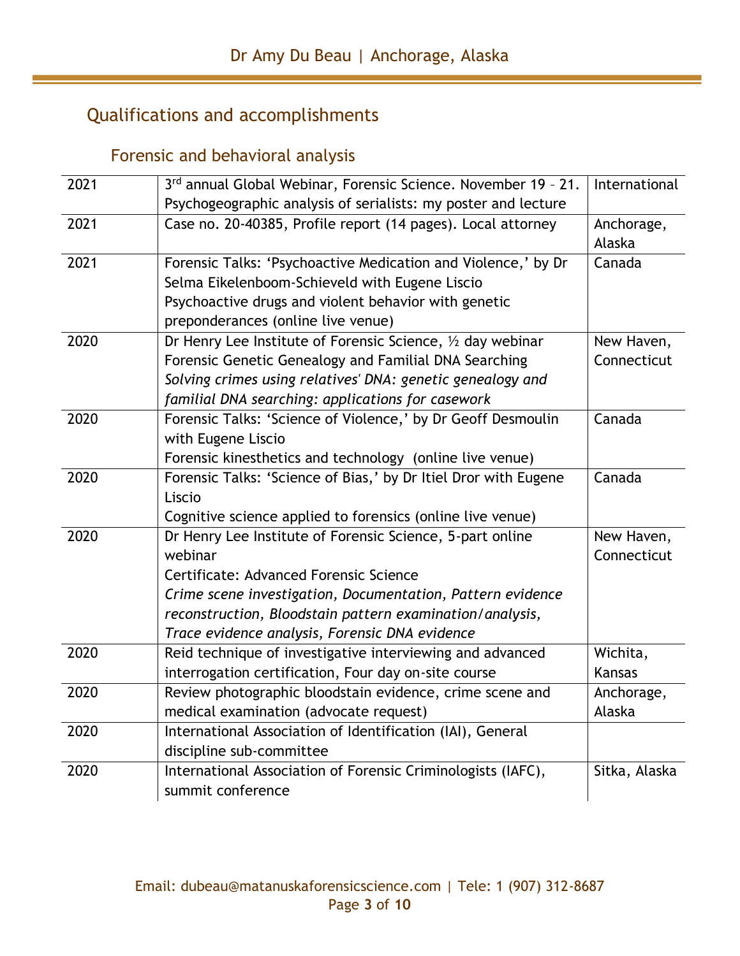# <span id="page-2-0"></span>Qualifications and accomplishments

# Forensic and behavioral analysis

<span id="page-2-1"></span>

| 2021 | 3rd annual Global Webinar, Forensic Science. November 19 - 21.  | International |
|------|-----------------------------------------------------------------|---------------|
|      | Psychogeographic analysis of serialists: my poster and lecture  |               |
| 2021 | Case no. 20-40385, Profile report (14 pages). Local attorney    | Anchorage,    |
|      |                                                                 | Alaska        |
| 2021 | Forensic Talks: 'Psychoactive Medication and Violence,' by Dr   | Canada        |
|      | Selma Eikelenboom-Schieveld with Eugene Liscio                  |               |
|      | Psychoactive drugs and violent behavior with genetic            |               |
|      | preponderances (online live venue)                              |               |
| 2020 | Dr Henry Lee Institute of Forensic Science, 1/2 day webinar     | New Haven,    |
|      | Forensic Genetic Genealogy and Familial DNA Searching           | Connecticut   |
|      | Solving crimes using relatives' DNA: genetic genealogy and      |               |
|      | familial DNA searching: applications for casework               |               |
| 2020 | Forensic Talks: 'Science of Violence,' by Dr Geoff Desmoulin    | Canada        |
|      | with Eugene Liscio                                              |               |
|      | Forensic kinesthetics and technology (online live venue)        |               |
| 2020 | Forensic Talks: 'Science of Bias,' by Dr Itiel Dror with Eugene | Canada        |
|      | Liscio                                                          |               |
|      | Cognitive science applied to forensics (online live venue)      |               |
| 2020 | Dr Henry Lee Institute of Forensic Science, 5-part online       | New Haven,    |
|      | webinar                                                         | Connecticut   |
|      | Certificate: Advanced Forensic Science                          |               |
|      | Crime scene investigation, Documentation, Pattern evidence      |               |
|      | reconstruction, Bloodstain pattern examination/analysis,        |               |
|      | Trace evidence analysis, Forensic DNA evidence                  |               |
| 2020 | Reid technique of investigative interviewing and advanced       | Wichita,      |
|      | interrogation certification, Four day on-site course            | <b>Kansas</b> |
| 2020 | Review photographic bloodstain evidence, crime scene and        | Anchorage,    |
|      | medical examination (advocate request)                          | Alaska        |
| 2020 | International Association of Identification (IAI), General      |               |
|      | discipline sub-committee                                        |               |
| 2020 | International Association of Forensic Criminologists (IAFC),    | Sitka, Alaska |
|      | summit conference                                               |               |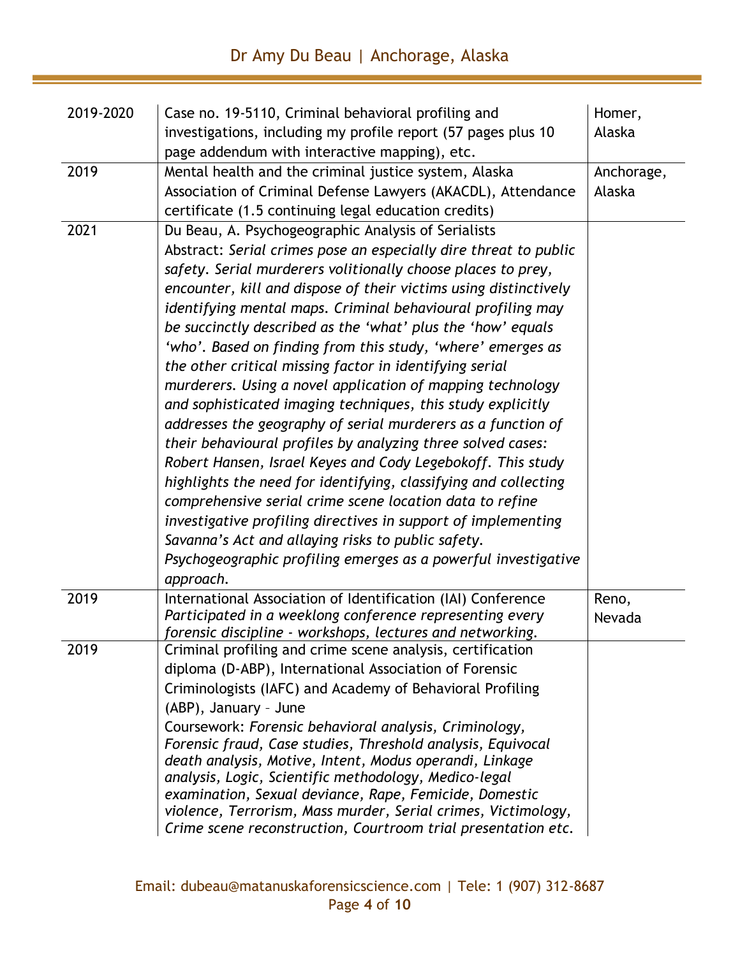| 2019-2020 | Case no. 19-5110, Criminal behavioral profiling and<br>investigations, including my profile report (57 pages plus 10<br>page addendum with interactive mapping), etc.                                                                                                                                                                                                                                                                                                                                                                                                                                                                                                                                                                                                                                                                                                                                                                                                                                                                                                                                                                                                               | Homer,<br>Alaska     |
|-----------|-------------------------------------------------------------------------------------------------------------------------------------------------------------------------------------------------------------------------------------------------------------------------------------------------------------------------------------------------------------------------------------------------------------------------------------------------------------------------------------------------------------------------------------------------------------------------------------------------------------------------------------------------------------------------------------------------------------------------------------------------------------------------------------------------------------------------------------------------------------------------------------------------------------------------------------------------------------------------------------------------------------------------------------------------------------------------------------------------------------------------------------------------------------------------------------|----------------------|
| 2019      | Mental health and the criminal justice system, Alaska<br>Association of Criminal Defense Lawyers (AKACDL), Attendance<br>certificate (1.5 continuing legal education credits)                                                                                                                                                                                                                                                                                                                                                                                                                                                                                                                                                                                                                                                                                                                                                                                                                                                                                                                                                                                                       | Anchorage,<br>Alaska |
| 2021      | Du Beau, A. Psychogeographic Analysis of Serialists<br>Abstract: Serial crimes pose an especially dire threat to public<br>safety. Serial murderers volitionally choose places to prey,<br>encounter, kill and dispose of their victims using distinctively<br>identifying mental maps. Criminal behavioural profiling may<br>be succinctly described as the 'what' plus the 'how' equals<br>'who'. Based on finding from this study, 'where' emerges as<br>the other critical missing factor in identifying serial<br>murderers. Using a novel application of mapping technology<br>and sophisticated imaging techniques, this study explicitly<br>addresses the geography of serial murderers as a function of<br>their behavioural profiles by analyzing three solved cases:<br>Robert Hansen, Israel Keyes and Cody Legebokoff. This study<br>highlights the need for identifying, classifying and collecting<br>comprehensive serial crime scene location data to refine<br>investigative profiling directives in support of implementing<br>Savanna's Act and allaying risks to public safety.<br>Psychogeographic profiling emerges as a powerful investigative<br>approach. |                      |
| 2019      | International Association of Identification (IAI) Conference<br>Participated in a weeklong conference representing every<br>forensic discipline - workshops, lectures and networking.                                                                                                                                                                                                                                                                                                                                                                                                                                                                                                                                                                                                                                                                                                                                                                                                                                                                                                                                                                                               | Reno,<br>Nevada      |
| 2019      | Criminal profiling and crime scene analysis, certification<br>diploma (D-ABP), International Association of Forensic<br>Criminologists (IAFC) and Academy of Behavioral Profiling<br>(ABP), January - June<br>Coursework: Forensic behavioral analysis, Criminology,<br>Forensic fraud, Case studies, Threshold analysis, Equivocal<br>death analysis, Motive, Intent, Modus operandi, Linkage<br>analysis, Logic, Scientific methodology, Medico-legal<br>examination, Sexual deviance, Rape, Femicide, Domestic<br>violence, Terrorism, Mass murder, Serial crimes, Victimology,<br>Crime scene reconstruction, Courtroom trial presentation etc.                                                                                                                                                                                                                                                                                                                                                                                                                                                                                                                                 |                      |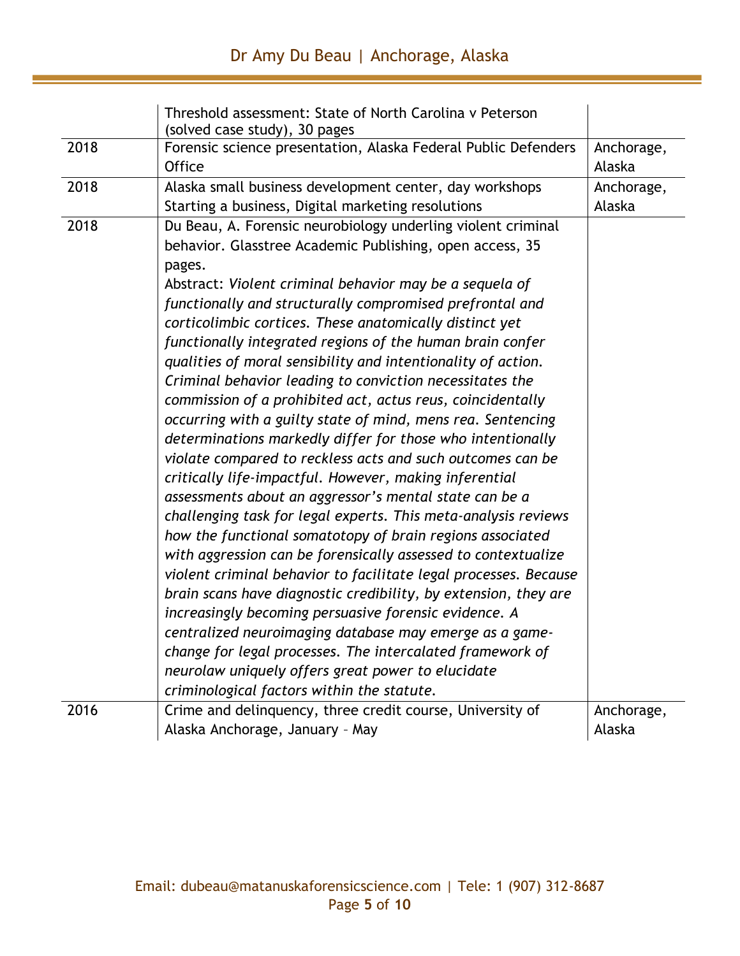|      | Threshold assessment: State of North Carolina y Peterson<br>(solved case study), 30 pages |            |
|------|-------------------------------------------------------------------------------------------|------------|
| 2018 | Forensic science presentation, Alaska Federal Public Defenders                            | Anchorage, |
|      | <b>Office</b>                                                                             | Alaska     |
| 2018 | Alaska small business development center, day workshops                                   | Anchorage, |
|      | Starting a business, Digital marketing resolutions                                        | Alaska     |
| 2018 | Du Beau, A. Forensic neurobiology underling violent criminal                              |            |
|      | behavior. Glasstree Academic Publishing, open access, 35                                  |            |
|      | pages.                                                                                    |            |
|      | Abstract: Violent criminal behavior may be a sequela of                                   |            |
|      | functionally and structurally compromised prefrontal and                                  |            |
|      | corticolimbic cortices. These anatomically distinct yet                                   |            |
|      | functionally integrated regions of the human brain confer                                 |            |
|      | qualities of moral sensibility and intentionality of action.                              |            |
|      | Criminal behavior leading to conviction necessitates the                                  |            |
|      | commission of a prohibited act, actus reus, coincidentally                                |            |
|      | occurring with a guilty state of mind, mens rea. Sentencing                               |            |
|      | determinations markedly differ for those who intentionally                                |            |
|      | violate compared to reckless acts and such outcomes can be                                |            |
|      | critically life-impactful. However, making inferential                                    |            |
|      | assessments about an aggressor's mental state can be a                                    |            |
|      | challenging task for legal experts. This meta-analysis reviews                            |            |
|      | how the functional somatotopy of brain regions associated                                 |            |
|      | with aggression can be forensically assessed to contextualize                             |            |
|      | violent criminal behavior to facilitate legal processes. Because                          |            |
|      | brain scans have diagnostic credibility, by extension, they are                           |            |
|      | increasingly becoming persuasive forensic evidence. A                                     |            |
|      | centralized neuroimaging database may emerge as a game-                                   |            |
|      | change for legal processes. The intercalated framework of                                 |            |
|      | neurolaw uniquely offers great power to elucidate                                         |            |
|      | criminological factors within the statute.                                                |            |
| 2016 | Crime and delinquency, three credit course, University of                                 | Anchorage, |
|      | Alaska Anchorage, January - May                                                           | Alaska     |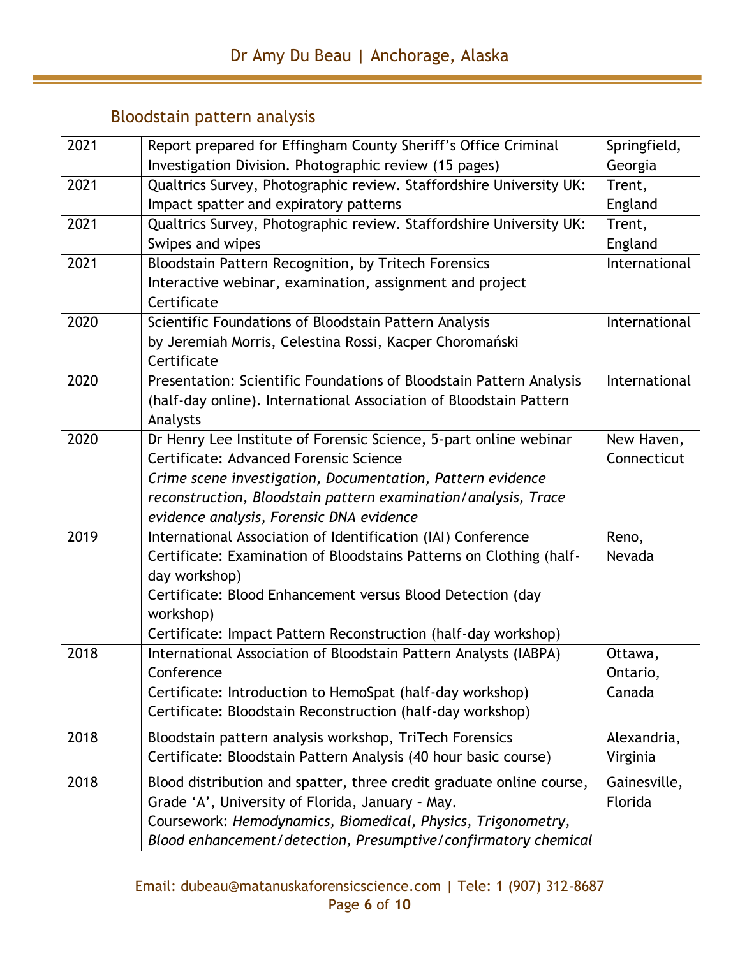# Bloodstain pattern analysis

<span id="page-5-0"></span>

| 2021 | Report prepared for Effingham County Sheriff's Office Criminal          | Springfield,  |
|------|-------------------------------------------------------------------------|---------------|
|      | Investigation Division. Photographic review (15 pages)                  | Georgia       |
| 2021 | Qualtrics Survey, Photographic review. Staffordshire University UK:     | Trent,        |
|      | Impact spatter and expiratory patterns                                  | England       |
| 2021 | Qualtrics Survey, Photographic review. Staffordshire University UK:     | Trent,        |
|      | Swipes and wipes                                                        | England       |
| 2021 | Bloodstain Pattern Recognition, by Tritech Forensics                    | International |
|      | Interactive webinar, examination, assignment and project                |               |
|      | Certificate                                                             |               |
| 2020 | Scientific Foundations of Bloodstain Pattern Analysis                   | International |
|      | by Jeremiah Morris, Celestina Rossi, Kacper Choromański                 |               |
|      | Certificate                                                             |               |
| 2020 | Presentation: Scientific Foundations of Bloodstain Pattern Analysis     | International |
|      | (half-day online). International Association of Bloodstain Pattern      |               |
|      | Analysts                                                                |               |
| 2020 | Dr Henry Lee Institute of Forensic Science, 5-part online webinar       | New Haven,    |
|      | Certificate: Advanced Forensic Science                                  | Connecticut   |
|      | Crime scene investigation, Documentation, Pattern evidence              |               |
|      | reconstruction, Bloodstain pattern examination/analysis, Trace          |               |
|      | evidence analysis, Forensic DNA evidence                                |               |
| 2019 | International Association of Identification (IAI) Conference            | Reno,         |
|      | Certificate: Examination of Bloodstains Patterns on Clothing (half-     | Nevada        |
|      | day workshop)                                                           |               |
|      | Certificate: Blood Enhancement versus Blood Detection (day<br>workshop) |               |
|      | Certificate: Impact Pattern Reconstruction (half-day workshop)          |               |
| 2018 | International Association of Bloodstain Pattern Analysts (IABPA)        | Ottawa,       |
|      | Conference                                                              | Ontario,      |
|      | Certificate: Introduction to HemoSpat (half-day workshop)               | Canada        |
|      | Certificate: Bloodstain Reconstruction (half-day workshop)              |               |
|      |                                                                         |               |
| 2018 | Bloodstain pattern analysis workshop, TriTech Forensics                 | Alexandria,   |
|      | Certificate: Bloodstain Pattern Analysis (40 hour basic course)         | Virginia      |
| 2018 | Blood distribution and spatter, three credit graduate online course,    | Gainesville,  |
|      | Grade 'A', University of Florida, January - May.                        | Florida       |
|      | Coursework: Hemodynamics, Biomedical, Physics, Trigonometry,            |               |
|      | Blood enhancement/detection, Presumptive/confirmatory chemical          |               |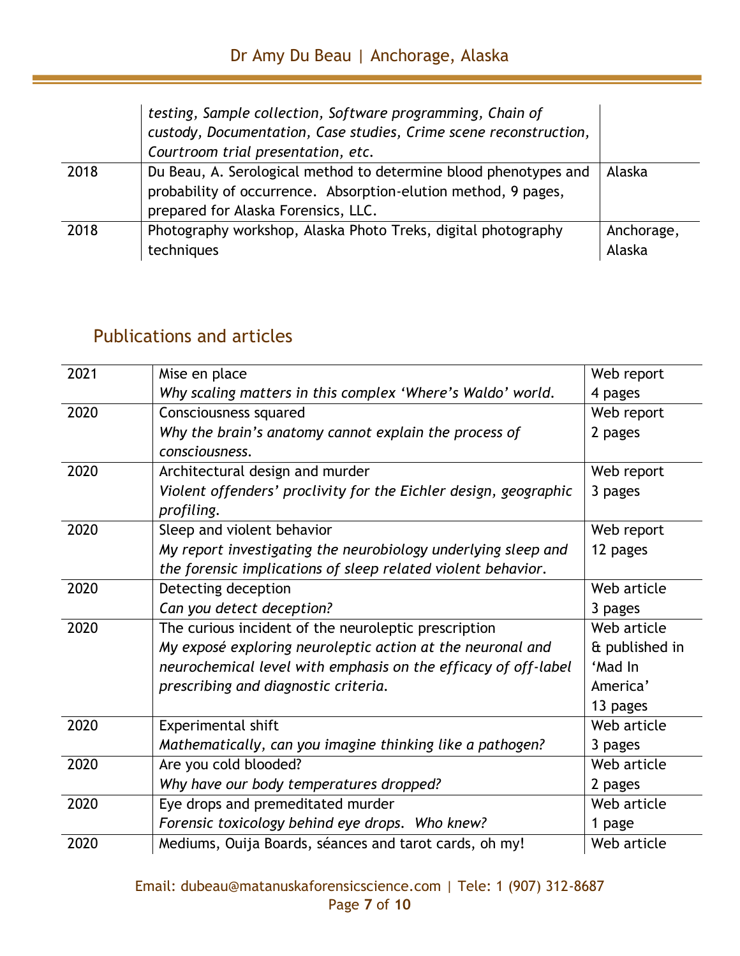|      | testing, Sample collection, Software programming, Chain of<br>custody, Documentation, Case studies, Crime scene reconstruction,<br>Courtroom trial presentation, etc.     |                      |
|------|---------------------------------------------------------------------------------------------------------------------------------------------------------------------------|----------------------|
| 2018 | Du Beau, A. Serological method to determine blood phenotypes and<br>probability of occurrence. Absorption-elution method, 9 pages,<br>prepared for Alaska Forensics, LLC. | Alaska               |
| 2018 | Photography workshop, Alaska Photo Treks, digital photography<br>techniques                                                                                               | Anchorage,<br>Alaska |

#### <span id="page-6-0"></span>Publications and articles

| 2021 | Mise en place                                                    | Web report     |
|------|------------------------------------------------------------------|----------------|
|      | Why scaling matters in this complex 'Where's Waldo' world.       | 4 pages        |
| 2020 | Consciousness squared                                            | Web report     |
|      | Why the brain's anatomy cannot explain the process of            | 2 pages        |
|      | consciousness.                                                   |                |
| 2020 | Architectural design and murder                                  | Web report     |
|      | Violent offenders' proclivity for the Eichler design, geographic | 3 pages        |
|      | profiling.                                                       |                |
| 2020 | Sleep and violent behavior                                       | Web report     |
|      | My report investigating the neurobiology underlying sleep and    | 12 pages       |
|      | the forensic implications of sleep related violent behavior.     |                |
| 2020 | Detecting deception                                              | Web article    |
|      | Can you detect deception?                                        | 3 pages        |
| 2020 | The curious incident of the neuroleptic prescription             | Web article    |
|      | My exposé exploring neuroleptic action at the neuronal and       | & published in |
|      | neurochemical level with emphasis on the efficacy of off-label   | 'Mad In        |
|      | prescribing and diagnostic criteria.                             | America'       |
|      |                                                                  | 13 pages       |
| 2020 | Experimental shift                                               | Web article    |
|      | Mathematically, can you imagine thinking like a pathogen?        | 3 pages        |
| 2020 | Are you cold blooded?                                            | Web article    |
|      | Why have our body temperatures dropped?                          | 2 pages        |
| 2020 | Eye drops and premeditated murder                                | Web article    |
|      | Forensic toxicology behind eye drops. Who knew?                  | 1 page         |
| 2020 | Mediums, Ouija Boards, séances and tarot cards, oh my!           | Web article    |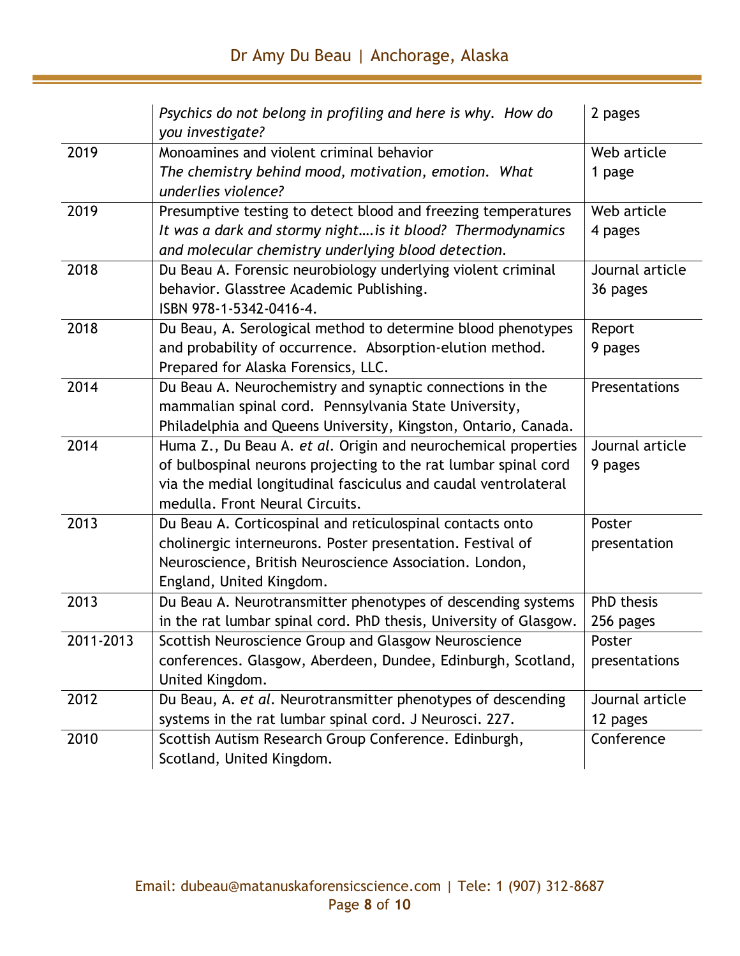|           | Psychics do not belong in profiling and here is why. How do<br>you investigate? | 2 pages         |
|-----------|---------------------------------------------------------------------------------|-----------------|
| 2019      | Monoamines and violent criminal behavior                                        | Web article     |
|           | The chemistry behind mood, motivation, emotion. What<br>underlies violence?     | 1 page          |
| 2019      | Presumptive testing to detect blood and freezing temperatures                   | Web article     |
|           | It was a dark and stormy night is it blood? Thermodynamics                      | 4 pages         |
|           | and molecular chemistry underlying blood detection.                             |                 |
| 2018      | Du Beau A. Forensic neurobiology underlying violent criminal                    | Journal article |
|           | behavior. Glasstree Academic Publishing.                                        | 36 pages        |
|           | ISBN 978-1-5342-0416-4.                                                         |                 |
| 2018      | Du Beau, A. Serological method to determine blood phenotypes                    | Report          |
|           | and probability of occurrence. Absorption-elution method.                       | 9 pages         |
|           | Prepared for Alaska Forensics, LLC.                                             |                 |
| 2014      | Du Beau A. Neurochemistry and synaptic connections in the                       | Presentations   |
|           | mammalian spinal cord. Pennsylvania State University,                           |                 |
|           | Philadelphia and Queens University, Kingston, Ontario, Canada.                  |                 |
| 2014      | Huma Z., Du Beau A. et al. Origin and neurochemical properties                  | Journal article |
|           | of bulbospinal neurons projecting to the rat lumbar spinal cord                 | 9 pages         |
|           | via the medial longitudinal fasciculus and caudal ventrolateral                 |                 |
|           | medulla. Front Neural Circuits.                                                 |                 |
| 2013      | Du Beau A. Corticospinal and reticulospinal contacts onto                       | Poster          |
|           | cholinergic interneurons. Poster presentation. Festival of                      | presentation    |
|           | Neuroscience, British Neuroscience Association. London,                         |                 |
|           | England, United Kingdom.                                                        |                 |
| 2013      | Du Beau A. Neurotransmitter phenotypes of descending systems                    | PhD thesis      |
|           | in the rat lumbar spinal cord. PhD thesis, University of Glasgow.               | 256 pages       |
| 2011-2013 | Scottish Neuroscience Group and Glasgow Neuroscience                            | Poster          |
|           | conferences. Glasgow, Aberdeen, Dundee, Edinburgh, Scotland,                    | presentations   |
|           | United Kingdom.                                                                 |                 |
| 2012      | Du Beau, A. et al. Neurotransmitter phenotypes of descending                    | Journal article |
|           | systems in the rat lumbar spinal cord. J Neurosci. 227.                         | 12 pages        |
| 2010      | Scottish Autism Research Group Conference. Edinburgh,                           | Conference      |
|           | Scotland, United Kingdom.                                                       |                 |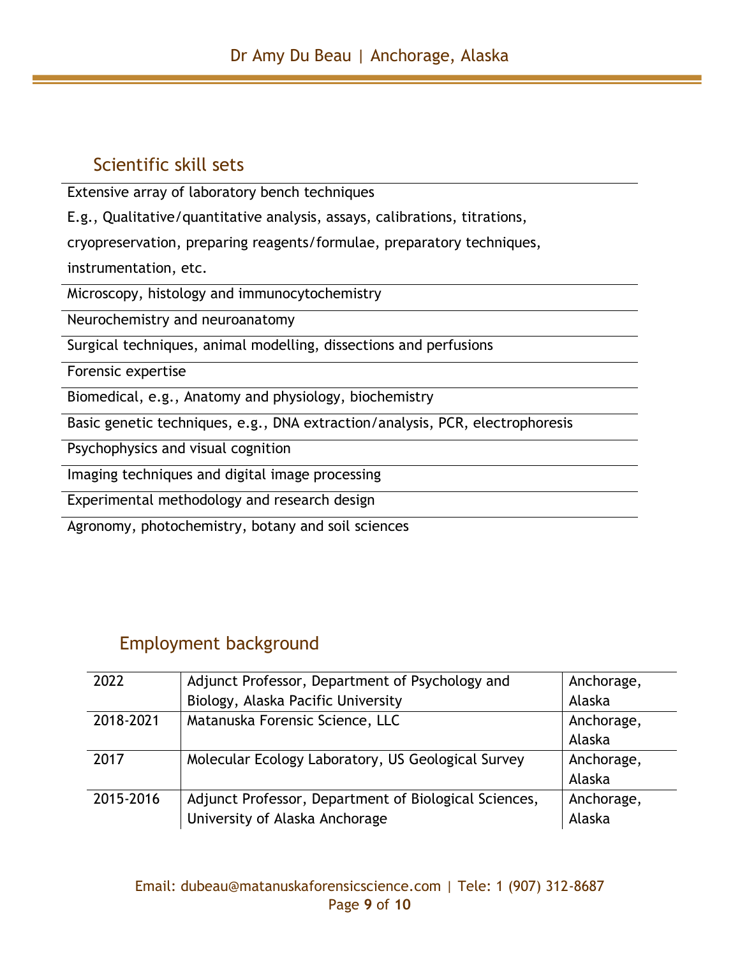#### <span id="page-8-0"></span>Scientific skill sets

Extensive array of laboratory bench techniques

E.g., Qualitative/quantitative analysis, assays, calibrations, titrations,

cryopreservation, preparing reagents/formulae, preparatory techniques,

instrumentation, etc.

Microscopy, histology and immunocytochemistry

Neurochemistry and neuroanatomy

Surgical techniques, animal modelling, dissections and perfusions

Forensic expertise

Biomedical, e.g., Anatomy and physiology, biochemistry

Basic genetic techniques, e.g., DNA extraction/analysis, PCR, electrophoresis

Psychophysics and visual cognition

Imaging techniques and digital image processing

Experimental methodology and research design

Agronomy, photochemistry, botany and soil sciences

#### <span id="page-8-1"></span>Employment background

| 2022      | Adjunct Professor, Department of Psychology and       | Anchorage, |
|-----------|-------------------------------------------------------|------------|
|           | Biology, Alaska Pacific University                    | Alaska     |
| 2018-2021 | Matanuska Forensic Science, LLC                       | Anchorage, |
|           |                                                       | Alaska     |
| 2017      | Molecular Ecology Laboratory, US Geological Survey    | Anchorage, |
|           |                                                       | Alaska     |
| 2015-2016 | Adjunct Professor, Department of Biological Sciences, | Anchorage, |
|           | University of Alaska Anchorage                        | Alaska     |